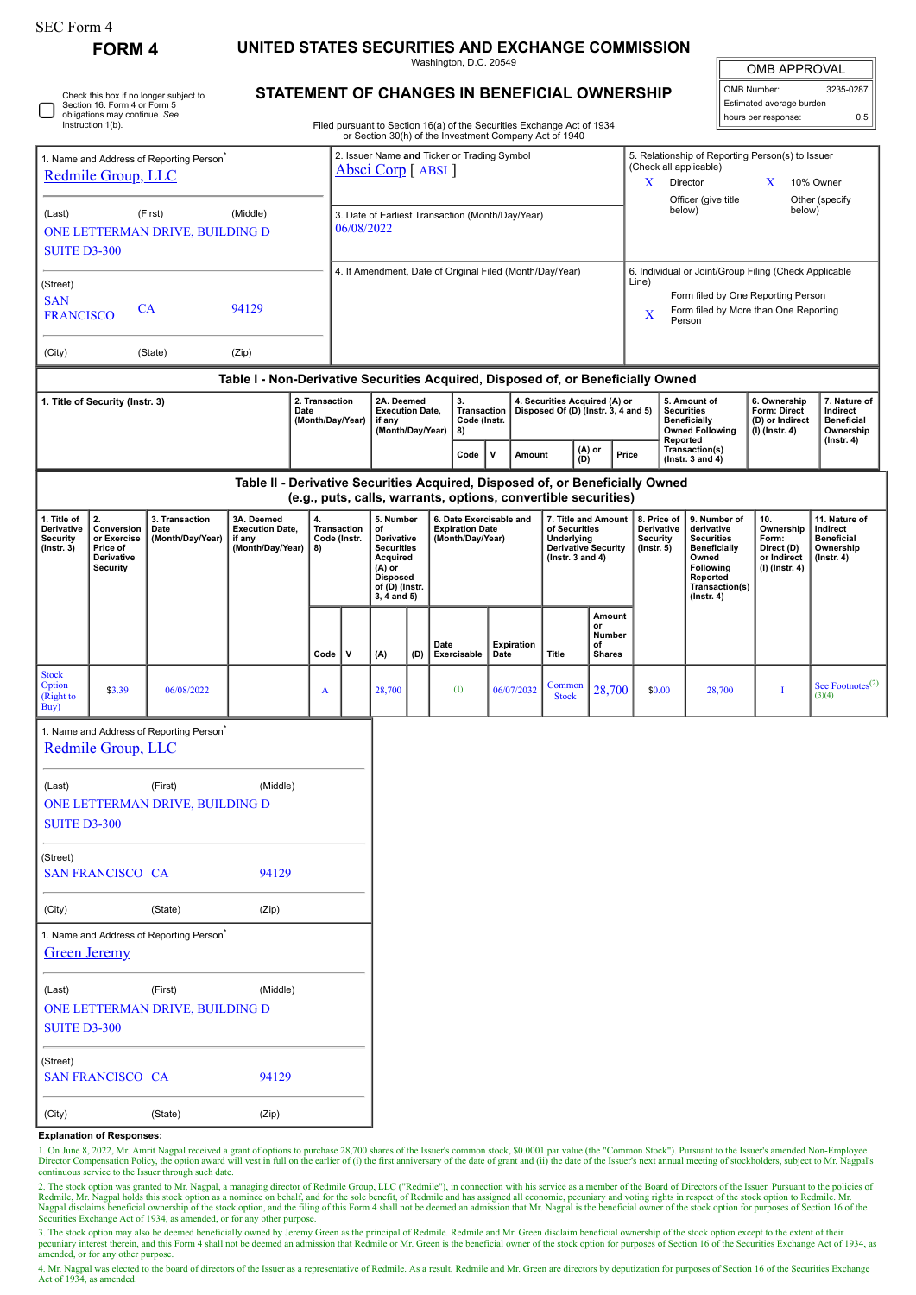| SEC Form 4                                                                    | <b>FORM4</b>                                                                 |                                                      |                                                                                                                                  |          |                                                                |                                                                    |                                                                                                                                    |             |                                                                       |              |            |                                                                                                          |                                   |                                                                                                      |                                                                  |                                                                |                                                                                                                                                |                                                                                |                                                                                 |  |
|-------------------------------------------------------------------------------|------------------------------------------------------------------------------|------------------------------------------------------|----------------------------------------------------------------------------------------------------------------------------------|----------|----------------------------------------------------------------|--------------------------------------------------------------------|------------------------------------------------------------------------------------------------------------------------------------|-------------|-----------------------------------------------------------------------|--------------|------------|----------------------------------------------------------------------------------------------------------|-----------------------------------|------------------------------------------------------------------------------------------------------|------------------------------------------------------------------|----------------------------------------------------------------|------------------------------------------------------------------------------------------------------------------------------------------------|--------------------------------------------------------------------------------|---------------------------------------------------------------------------------|--|
|                                                                               |                                                                              |                                                      | UNITED STATES SECURITIES AND EXCHANGE COMMISSION<br>Washington, D.C. 20549                                                       |          |                                                                |                                                                    |                                                                                                                                    |             |                                                                       |              |            |                                                                                                          |                                   |                                                                                                      |                                                                  |                                                                |                                                                                                                                                | <b>OMB APPROVAL</b>                                                            |                                                                                 |  |
|                                                                               | Check this box if no longer subject to<br>Section 16. Form 4 or Form 5       | STATEMENT OF CHANGES IN BENEFICIAL OWNERSHIP         |                                                                                                                                  |          |                                                                |                                                                    |                                                                                                                                    |             |                                                                       |              |            |                                                                                                          |                                   | OMB Number:<br>Estimated average burden                                                              |                                                                  |                                                                | 3235-0287                                                                                                                                      |                                                                                |                                                                                 |  |
|                                                                               | obligations may continue. See<br>Instruction 1(b).                           |                                                      | Filed pursuant to Section 16(a) of the Securities Exchange Act of 1934<br>or Section 30(h) of the Investment Company Act of 1940 |          |                                                                |                                                                    |                                                                                                                                    |             |                                                                       |              |            |                                                                                                          |                                   |                                                                                                      |                                                                  |                                                                |                                                                                                                                                | hours per response:                                                            | 0.5                                                                             |  |
|                                                                               | 1. Name and Address of Reporting Person <sup>®</sup><br>Redmile Group, LLC   |                                                      |                                                                                                                                  |          |                                                                | 2. Issuer Name and Ticker or Trading Symbol<br>Absci Corp [ ABSI ] |                                                                                                                                    |             |                                                                       |              |            |                                                                                                          |                                   | X.                                                                                                   |                                                                  | (Check all applicable)<br>Director                             | 5. Relationship of Reporting Person(s) to Issuer<br>X                                                                                          | 10% Owner                                                                      |                                                                                 |  |
| (Last)                                                                        | (First)<br>ONE LETTERMAN DRIVE, BUILDING D                                   | (Middle)                                             |                                                                                                                                  |          | 3. Date of Earliest Transaction (Month/Day/Year)<br>06/08/2022 |                                                                    |                                                                                                                                    |             |                                                                       |              |            |                                                                                                          |                                   |                                                                                                      | below)                                                           | Officer (give title                                            | below)                                                                                                                                         | Other (specify                                                                 |                                                                                 |  |
| <b>SUITE D3-300</b>                                                           |                                                                              |                                                      |                                                                                                                                  |          |                                                                |                                                                    | 4. If Amendment, Date of Original Filed (Month/Day/Year)                                                                           |             |                                                                       |              |            |                                                                                                          |                                   |                                                                                                      |                                                                  | 6. Individual or Joint/Group Filing (Check Applicable<br>Line) |                                                                                                                                                |                                                                                |                                                                                 |  |
| (Street)<br><b>SAN</b><br><b>CA</b><br>94129<br><b>FRANCISCO</b>              |                                                                              |                                                      |                                                                                                                                  |          |                                                                |                                                                    |                                                                                                                                    |             |                                                                       |              |            |                                                                                                          |                                   | Form filed by One Reporting Person<br>Form filed by More than One Reporting<br>$\mathbf X$<br>Person |                                                                  |                                                                |                                                                                                                                                |                                                                                |                                                                                 |  |
| (City)                                                                        |                                                                              | (State)                                              | (Zip)                                                                                                                            |          |                                                                |                                                                    |                                                                                                                                    |             |                                                                       |              |            |                                                                                                          |                                   |                                                                                                      |                                                                  |                                                                |                                                                                                                                                |                                                                                |                                                                                 |  |
|                                                                               |                                                                              |                                                      | Table I - Non-Derivative Securities Acquired, Disposed of, or Beneficially Owned                                                 |          |                                                                |                                                                    |                                                                                                                                    |             |                                                                       |              |            |                                                                                                          |                                   |                                                                                                      |                                                                  |                                                                |                                                                                                                                                |                                                                                |                                                                                 |  |
| 2. Transaction<br>1. Title of Security (Instr. 3)<br>Date<br>(Month/Day/Year) |                                                                              |                                                      |                                                                                                                                  |          | if any                                                         | 2A. Deemed<br><b>Execution Date.</b><br>(Month/Day/Year)           |                                                                                                                                    |             | 3.<br><b>Transaction</b><br>Code (Instr.<br>8)                        |              |            | 4. Securities Acquired (A) or<br>Disposed Of (D) (Instr. 3, 4 and 5)                                     |                                   |                                                                                                      | <b>Securities</b><br>Reported                                    | 5. Amount of<br><b>Beneficially</b><br><b>Owned Following</b>  | 6. Ownership<br>Form: Direct<br>(D) or Indirect<br>$(I)$ (Instr. 4)                                                                            | 7. Nature of<br>Indirect<br><b>Beneficial</b><br>Ownership<br>$($ Instr. 4 $)$ |                                                                                 |  |
|                                                                               |                                                                              |                                                      |                                                                                                                                  |          |                                                                |                                                                    |                                                                                                                                    |             | Code                                                                  | $\mathsf{v}$ | Amount     |                                                                                                          | (A) or<br>(D)                     | Price                                                                                                |                                                                  |                                                                | Transaction(s)<br>(Instr. $3$ and $4$ )                                                                                                        |                                                                                |                                                                                 |  |
|                                                                               |                                                                              |                                                      | Table II - Derivative Securities Acquired, Disposed of, or Beneficially Owned                                                    |          |                                                                | (e.g., puts, calls, warrants, options, convertible securities)     |                                                                                                                                    |             |                                                                       |              |            |                                                                                                          |                                   |                                                                                                      |                                                                  |                                                                |                                                                                                                                                |                                                                                |                                                                                 |  |
| 1. Title of<br>Derivative<br><b>Security</b><br>$($ Instr. $3)$               | 2.<br>Conversion<br>or Exercise<br>Price of<br>Derivative<br><b>Security</b> | 3. Transaction<br>Date<br>(Month/Day/Year)           | 3A. Deemed<br><b>Execution Date,</b><br>if any<br>(Month/Day/Year)                                                               | 4.<br>8) | Transaction<br>Code (Instr.                                    |                                                                    | 5. Number<br>of<br>Derivative<br><b>Securities</b><br>Acquired<br>$(A)$ or<br><b>Disposed</b><br>of (D) (Instr.<br>$3, 4$ and $5)$ |             | 6. Date Exercisable and<br><b>Expiration Date</b><br>(Month/Day/Year) |              |            | 7. Title and Amount<br>of Securities<br>Underlying<br><b>Derivative Security</b><br>( $lnstr. 3 and 4$ ) |                                   |                                                                                                      | 8. Price of<br>Derivative<br><b>Security</b><br>$($ lnstr. 5 $)$ |                                                                | 9. Number of<br>derivative<br><b>Securities</b><br><b>Beneficially</b><br>Owned<br>Following<br>Reported<br>Transaction(s)<br>$($ Instr. 4 $)$ | 10.<br>Ownership<br>Form:<br>Direct (D)<br>or Indirect<br>(I) (Instr. 4)       | 11. Nature of<br>Indirect<br><b>Beneficial</b><br>Ownership<br>$($ Instr. 4 $)$ |  |
|                                                                               |                                                                              |                                                      |                                                                                                                                  | Code     | ٧                                                              | (A)                                                                | Date<br>(D)                                                                                                                        | Exercisable | Date                                                                  | Expiration   | Title      | or<br>of                                                                                                 | Amount<br>Number<br><b>Shares</b> |                                                                                                      |                                                                  |                                                                |                                                                                                                                                |                                                                                |                                                                                 |  |
| <b>Stock</b><br>Option<br>(Right to<br>Buy)                                   | \$3.39                                                                       | 06/08/2022                                           |                                                                                                                                  | A        |                                                                | 28,700                                                             |                                                                                                                                    |             | (1)                                                                   |              | 06/07/2032 | Common<br><b>Stock</b>                                                                                   |                                   | 28,700                                                                                               | \$0.00                                                           |                                                                | 28,700                                                                                                                                         | Т                                                                              | See Footnotes $(2)$<br>(3)(4)                                                   |  |
|                                                                               | Redmile Group, LLC                                                           | 1. Name and Address of Reporting Person <sup>®</sup> |                                                                                                                                  |          |                                                                |                                                                    |                                                                                                                                    |             |                                                                       |              |            |                                                                                                          |                                   |                                                                                                      |                                                                  |                                                                |                                                                                                                                                |                                                                                |                                                                                 |  |
| (Last)<br><b>SUITE D3-300</b>                                                 |                                                                              | (First)<br>ONE LETTERMAN DRIVE, BUILDING D           | (Middle)                                                                                                                         |          |                                                                |                                                                    |                                                                                                                                    |             |                                                                       |              |            |                                                                                                          |                                   |                                                                                                      |                                                                  |                                                                |                                                                                                                                                |                                                                                |                                                                                 |  |
| (Street)<br><b>SAN FRANCISCO CA</b><br>94129                                  |                                                                              |                                                      |                                                                                                                                  |          |                                                                |                                                                    |                                                                                                                                    |             |                                                                       |              |            |                                                                                                          |                                   |                                                                                                      |                                                                  |                                                                |                                                                                                                                                |                                                                                |                                                                                 |  |
| (City)<br>(State)<br>(Zip)                                                    |                                                                              |                                                      |                                                                                                                                  |          |                                                                |                                                                    |                                                                                                                                    |             |                                                                       |              |            |                                                                                                          |                                   |                                                                                                      |                                                                  |                                                                |                                                                                                                                                |                                                                                |                                                                                 |  |
|                                                                               | <b>Green Jeremy</b>                                                          | 1. Name and Address of Reporting Person <sup>®</sup> |                                                                                                                                  |          |                                                                |                                                                    |                                                                                                                                    |             |                                                                       |              |            |                                                                                                          |                                   |                                                                                                      |                                                                  |                                                                |                                                                                                                                                |                                                                                |                                                                                 |  |
| (Last)<br><b>SUITE D3-300</b>                                                 |                                                                              | (First)<br>ONE LETTERMAN DRIVE, BUILDING D           | (Middle)                                                                                                                         |          |                                                                |                                                                    |                                                                                                                                    |             |                                                                       |              |            |                                                                                                          |                                   |                                                                                                      |                                                                  |                                                                |                                                                                                                                                |                                                                                |                                                                                 |  |
| (Street)<br><b>SAN FRANCISCO CA</b><br>94129                                  |                                                                              |                                                      |                                                                                                                                  |          |                                                                |                                                                    |                                                                                                                                    |             |                                                                       |              |            |                                                                                                          |                                   |                                                                                                      |                                                                  |                                                                |                                                                                                                                                |                                                                                |                                                                                 |  |
| (City)                                                                        |                                                                              | (State)                                              | (Zip)                                                                                                                            |          |                                                                |                                                                    |                                                                                                                                    |             |                                                                       |              |            |                                                                                                          |                                   |                                                                                                      |                                                                  |                                                                |                                                                                                                                                |                                                                                |                                                                                 |  |

## **Explanation of Responses:**

1. On June 8, 2022, Mr. Amrit Nagpal received a grant of options to purchase 28,700 shares of the Issuer's common stock, \$0.0001 par value (the "Common Stock"). Pursuant to the Issuer's amended Non-Employee<br>Director Compen continuous service to the Issuer through such date.

2. The stock option was granted to Mr. Nagpal, a managing director of Redmile Group, LLC ("Redmile"), in connection with his service as a member of the Board of Directors of the Issuer. Pursuant to the policies of<br>Redmile,

3. The stock option may also be deemed beneficially owned by Jeremy Green as the principal of Redmile. Redmile and Mr. Green disclaim beneficial ownership of the stock option except to the extent of their<br>pecuniary interes amended, or for any other purpose.

4. Mr. Nagpal was elected to the board of directors of the Issuer as a representative of Redmile. As a result, Redmile and Mr. Green are directors by deputization for purposes of Section 16 of the Securities Exchange<br>Act o